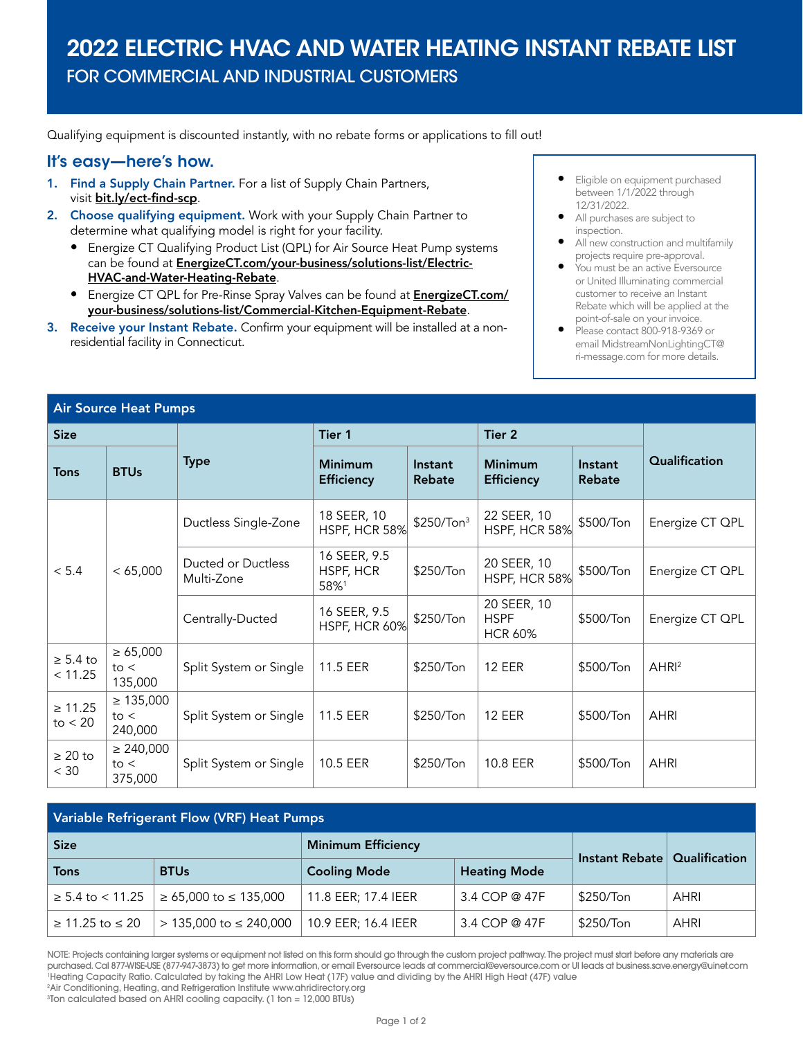## 2022 ELECTRIC HVAC AND WATER HEATING INSTANT REBATE LIST

FOR COMMERCIAL AND INDUSTRIAL CUSTOMERS

Qualifying equipment is discounted instantly, with no rebate forms or applications to fill out!

## It's easy—here's how.

- 1. Find a Supply Chain Partner. For a list of Supply Chain Partners, visit [bit.ly/ect-find-scp](http://bit.ly/ect-find-scp).
- 2. Choose qualifying equipment. Work with your Supply Chain Partner to determine what qualifying model is right for your facility.
	- Energize CT Qualifying Product List (QPL) for Air Source Heat Pump systems can be found at **[EnergizeCT.com/your-business/solutions-list/Electric-](http://EnergizeCT.com/your-business/solutions-list/Electric-HVAC-and-Water-Heating-Rebate)**[HVAC-and-Water-Heating-Rebate](http://EnergizeCT.com/your-business/solutions-list/Electric-HVAC-and-Water-Heating-Rebate).
	- Energize CT QPL for Pre-Rinse Spray Valves can be found at **[EnergizeCT.com/](http://EnergizeCT.com/your-business/solutions-list/Commercial-Kitchen-Equipment-Rebate)** [your-business/solutions-list/Commercial-Kitchen-Equipment-Rebate](http://EnergizeCT.com/your-business/solutions-list/Commercial-Kitchen-Equipment-Rebate).
- 3. Receive your Instant Rebate. Confirm your equipment will be installed at a nonresidential facility in Connecticut.
- Eligible on equipment purchased between 1/1/2022 through 12/31/2022.
- All purchases are subject to inspection.
- All new construction and multifamily projects require pre-approval.
- You must be an active Eversource or United Illuminating commercial customer to receive an Instant Rebate which will be applied at the point-of-sale on your invoice.
- Please contact 800-918-9369 or email [MidstreamNonLightingCT@](mailto:MidstreamNonLightingCT%40ri-message.com?subject=) [ri-message.com](mailto:MidstreamNonLightingCT%40ri-message.com?subject=) for more details.

| <b>Air Source Heat Pumps</b> |                                   |                                  |                                     |                        |                                              |                   |                  |
|------------------------------|-----------------------------------|----------------------------------|-------------------------------------|------------------------|----------------------------------------------|-------------------|------------------|
| <b>Size</b>                  |                                   |                                  | Tier 1                              |                        | Tier 2                                       |                   |                  |
| <b>Tons</b>                  | <b>BTUs</b>                       | <b>Type</b>                      | <b>Minimum</b><br><b>Efficiency</b> | Instant<br>Rebate      | <b>Minimum</b><br><b>Efficiency</b>          | Instant<br>Rebate | Qualification    |
| < 5.4                        | < 65,000                          | Ductless Single-Zone             | 18 SEER, 10<br>HSPF, HCR 58%        | \$250/Ton <sup>3</sup> | 22 SEER, 10<br>HSPF, HCR 58%                 | \$500/Ton         | Energize CT QPL  |
|                              |                                   | Ducted or Ductless<br>Multi-Zone | 16 SEER, 9.5<br>HSPF, HCR<br>58%1   | \$250/Ton              | 20 SEER, 10<br>HSPF, HCR 58%                 | \$500/Ton         | Energize CT QPL  |
|                              |                                   | Centrally-Ducted                 | 16 SEER, 9.5<br>HSPF, HCR 60%       | \$250/Ton              | 20 SEER, 10<br><b>HSPF</b><br><b>HCR 60%</b> | \$500/Ton         | Energize CT QPL  |
| $\geq 5.4$ to<br>< 11.25     | $\geq 65,000$<br>to <<br>135,000  | Split System or Single           | 11.5 EER                            | \$250/Ton              | <b>12 EER</b>                                | \$500/Ton         | AHR <sup>2</sup> |
| $\geq 11.25$<br>to $<$ 20    | $\geq 135,000$<br>to <<br>240,000 | Split System or Single           | 11.5 EER                            | \$250/Ton              | <b>12 EER</b>                                | \$500/Ton         | <b>AHRI</b>      |
| $\geq 20$ to<br>$<$ 30       | $\geq 240,000$<br>to <<br>375,000 | Split System or Single           | 10.5 EER                            | \$250/Ton              | 10.8 EER                                     | \$500/Ton         | <b>AHRI</b>      |

| Variable Refrigerant Flow (VRF) Heat Pumps |                               |                           |                     |               |      |  |
|--------------------------------------------|-------------------------------|---------------------------|---------------------|---------------|------|--|
| <b>Size</b>                                |                               | <b>Minimum Efficiency</b> | Instant Rebate      | Qualification |      |  |
| <b>Tons</b>                                | <b>BTUs</b>                   | <b>Cooling Mode</b>       | <b>Heating Mode</b> |               |      |  |
| $\geq 5.4$ to $< 11.25$                    | ≥ 65,000 to ≤ 135,000         | 11.8 EER; 17.4 IEER       | 3.4 COP @ 47F       | \$250/Ton     | AHRI |  |
| ≥ 11.25 to $\leq 20$                       | $> 135,000$ to $\leq 240,000$ | 10.9 EER; 16.4 IEER       | 3.4 COP @ 47F       | \$250/Ton     | AHRI |  |

NOTE: Projects containing larger systems or equipment not listed on this form should go through the custom project pathway. The project must start before any materials are purchased. Cal 877-WISE-USE (877-947-3873) to get more information, or email Eversource leads at commercial@eversource.com or UI leads at business.save.energy@uinet.com 1 Heating Capacity Ratio. Calculated by taking the AHRI Low Heat (17F) value and dividing by the AHRI High Heat (47F) value 2 Air Conditioning, Heating, and Refrigeration Institute www.ahridirectory.org

3 Ton calculated based on AHRI cooling capacity. (1 ton = 12,000 BTUs)